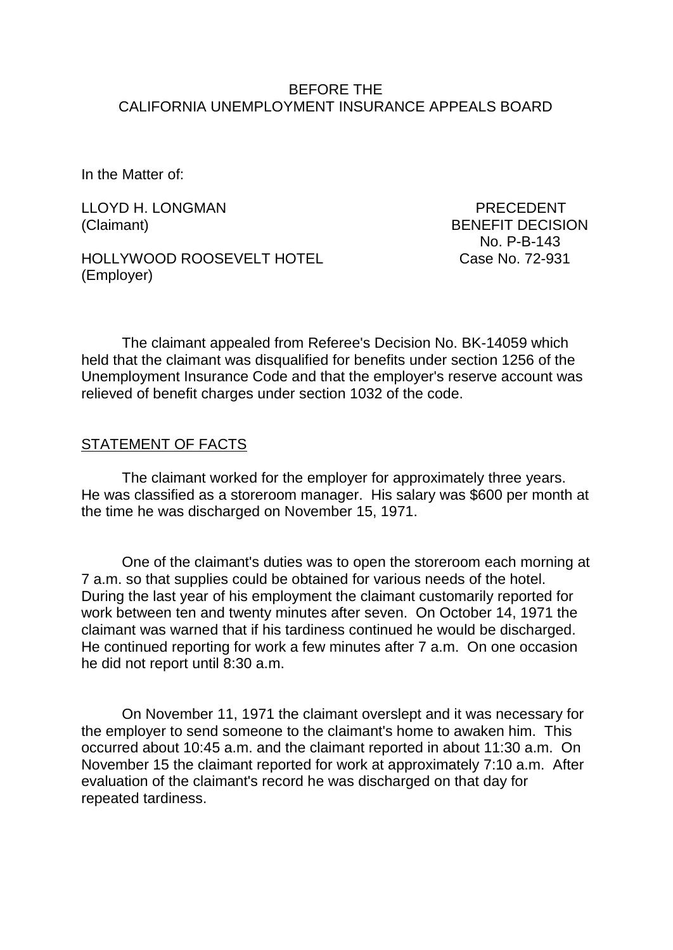### BEFORE THE CALIFORNIA UNEMPLOYMENT INSURANCE APPEALS BOARD

In the Matter of:

LLOYD H. LONGMAN PRECEDENT (Claimant) BENEFIT DECISION

HOLLYWOOD ROOSEVELT HOTEL Case No. 72-931 (Employer)

No. P-B-143

The claimant appealed from Referee's Decision No. BK-14059 which held that the claimant was disqualified for benefits under section 1256 of the Unemployment Insurance Code and that the employer's reserve account was relieved of benefit charges under section 1032 of the code.

### STATEMENT OF FACTS

The claimant worked for the employer for approximately three years. He was classified as a storeroom manager. His salary was \$600 per month at the time he was discharged on November 15, 1971.

One of the claimant's duties was to open the storeroom each morning at 7 a.m. so that supplies could be obtained for various needs of the hotel. During the last year of his employment the claimant customarily reported for work between ten and twenty minutes after seven. On October 14, 1971 the claimant was warned that if his tardiness continued he would be discharged. He continued reporting for work a few minutes after 7 a.m. On one occasion he did not report until 8:30 a.m.

On November 11, 1971 the claimant overslept and it was necessary for the employer to send someone to the claimant's home to awaken him. This occurred about 10:45 a.m. and the claimant reported in about 11:30 a.m. On November 15 the claimant reported for work at approximately 7:10 a.m. After evaluation of the claimant's record he was discharged on that day for repeated tardiness.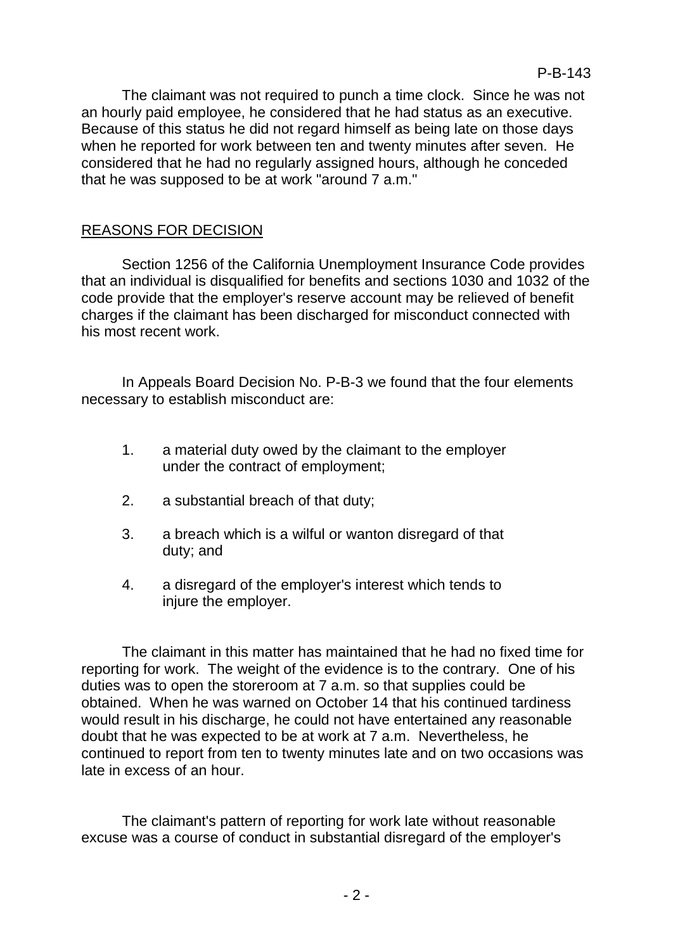The claimant was not required to punch a time clock. Since he was not an hourly paid employee, he considered that he had status as an executive. Because of this status he did not regard himself as being late on those days when he reported for work between ten and twenty minutes after seven. He considered that he had no regularly assigned hours, although he conceded that he was supposed to be at work "around 7 a.m."

## REASONS FOR DECISION

Section 1256 of the California Unemployment Insurance Code provides that an individual is disqualified for benefits and sections 1030 and 1032 of the code provide that the employer's reserve account may be relieved of benefit charges if the claimant has been discharged for misconduct connected with his most recent work.

In Appeals Board Decision No. P-B-3 we found that the four elements necessary to establish misconduct are:

- 1. a material duty owed by the claimant to the employer under the contract of employment;
- 2. a substantial breach of that duty;
- 3. a breach which is a wilful or wanton disregard of that duty; and
- 4. a disregard of the employer's interest which tends to injure the employer.

The claimant in this matter has maintained that he had no fixed time for reporting for work. The weight of the evidence is to the contrary. One of his duties was to open the storeroom at 7 a.m. so that supplies could be obtained. When he was warned on October 14 that his continued tardiness would result in his discharge, he could not have entertained any reasonable doubt that he was expected to be at work at 7 a.m. Nevertheless, he continued to report from ten to twenty minutes late and on two occasions was late in excess of an hour.

The claimant's pattern of reporting for work late without reasonable excuse was a course of conduct in substantial disregard of the employer's